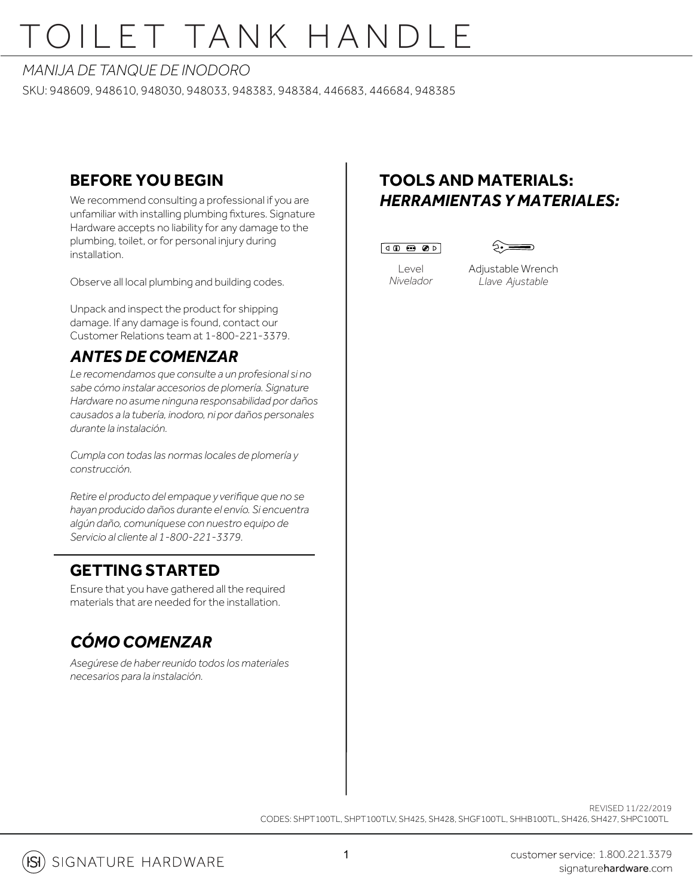# OILET TANK HANDLE

#### *MANIJA DE TANQUE DE INODORO*

SKU: 948609, 948610, 948030, 948033, 948383, 948384, 446683, 446684, 948385

### **BEFORE YOU BEGIN**

We recommend consulting a professional if you are unfamiliar with installing plumbing fixtures. Signature Hardware accepts no liability for any damage to the plumbing, toilet, or for personal injury during installation.

Observe all local plumbing and building codes.

Unpack and inspect the product for shipping damage. If any damage is found, contact our Customer Relations team at 1-800-221-3379.

## *ANTES DE COMENZAR*

*Le recomendamos que consulte a un profesional si no sabe cómo instalar accesorios de plomería. Signature Hardware no asume ninguna responsabilidad por daños causados a la tubería, inodoro, ni por daños personales durante la instalación.*

*Cumpla con todas las normas locales de plomería y construcción.*

*Retire el producto del empaque y verifique que no se hayan producido daños durante el envío. Si encuentra algún daño, comuníquese con nuestro equipo de Servicio al cliente al 1-800-221-3379.*

### **GETTING STARTED**

Ensure that you have gathered all the required materials that are needed for the installation.

## *CÓMO COMENZAR*

*Asegúrese de haber reunido todos los materiales necesarios para la instalación.*

## **TOOLS AND MATERIALS:** *HERRAMIENTAS Y MATERIALES:*





Level *Nivelador*

Adjustable Wrench *Llave Ajustable*